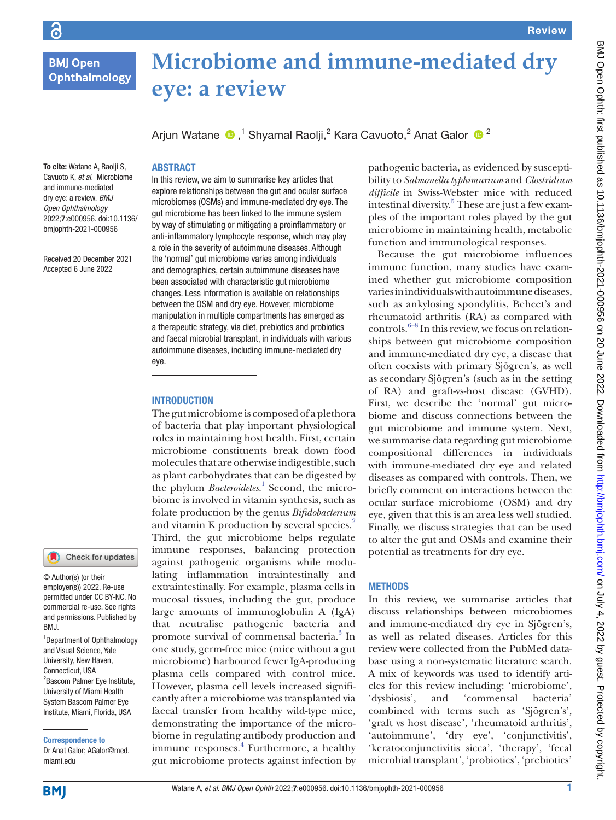**BMJ Open** Ophthalmology

 $\overline{G}$ 

# **Microbiome and immune-mediated dry eye: a review**

Arjun Watane  $\bigcirc$  ,<sup>1</sup> Shyamal Raolji,<sup>2</sup> Kara Cavuoto,<sup>2</sup> Anat Galor  $\bigcirc$  <sup>2</sup>

# **ABSTRACT**

To cite: Watane A, Raolii S, Cavuoto K, *et al*. Microbiome and immune-mediated dry eye: a review. *BMJ Open Ophthalmology* 2022;7:e000956. doi:10.1136/ bmjophth-2021-000956

Received 20 December 2021 Accepted 6 June 2022



© Author(s) (or their employer(s)) 2022. Re-use permitted under CC BY-NC. No commercial re-use. See rights and permissions. Published by RM<sub>J</sub>

1 Department of Ophthalmology and Visual Science, Yale University, New Haven, Connecticut, USA <sup>2</sup> Bascom Palmer Eye Institute, University of Miami Health System Bascom Palmer Eye Institute, Miami, Florida, USA

Correspondence to Dr Anat Galor; AGalor@med. miami.edu

In this review, we aim to summarise key articles that explore relationships between the gut and ocular surface microbiomes (OSMs) and immune-mediated dry eye. The gut microbiome has been linked to the immune system by way of stimulating or mitigating a proinflammatory or anti-inflammatory lymphocyte response, which may play a role in the severity of autoimmune diseases. Although the 'normal' gut microbiome varies among individuals and demographics, certain autoimmune diseases have been associated with characteristic gut microbiome changes. Less information is available on relationships between the OSM and dry eye. However, microbiome manipulation in multiple compartments has emerged as a therapeutic strategy, via diet, prebiotics and probiotics and faecal microbial transplant, in individuals with various autoimmune diseases, including immune-mediated dry eye.

#### **INTRODUCTION**

The gut microbiome is composed of a plethora of bacteria that play important physiological roles in maintaining host health. First, certain microbiome constituents break down food molecules that are otherwise indigestible, such as plant carbohydrates that can be digested by the phylum *Bacteroidetes*.<sup>[1](#page-8-0)</sup> Second, the microbiome is involved in vitamin synthesis, such as folate production by the genus *Bifidobacterium* and vitamin K production by several species.<sup>2</sup> Third, the gut microbiome helps regulate immune responses, balancing protection against pathogenic organisms while modulating inflammation intraintestinally and extraintestinally. For example, plasma cells in mucosal tissues, including the gut, produce large amounts of immunoglobulin A (IgA) that neutralise pathogenic bacteria and promote survival of commensal bacteria.<sup>3</sup> In one study, germ-free mice (mice without a gut microbiome) harboured fewer IgA-producing plasma cells compared with control mice. However, plasma cell levels increased significantly after a microbiome was transplanted via faecal transfer from healthy wild-type mice, demonstrating the importance of the microbiome in regulating antibody production and immune responses.<sup>4</sup> Furthermore, a healthy gut microbiome protects against infection by

pathogenic bacteria, as evidenced by susceptibility to *Salmonella typhimurium* and *Clostridium difficile* in Swiss-Webster mice with reduced intestinal diversity.<sup>5</sup> These are just a few examples of the important roles played by the gut microbiome in maintaining health, metabolic function and immunological responses.

Because the gut microbiome influences immune function, many studies have examined whether gut microbiome composition varies in individuals with autoimmune diseases, such as ankylosing spondylitis, Behcet's and rheumatoid arthritis (RA) as compared with controls. $6-8$  In this review, we focus on relationships between gut microbiome composition and immune-mediated dry eye, a disease that often coexists with primary Sjögren's, as well as secondary Sjögren's (such as in the setting of RA) and graft-vs-host disease (GVHD). First, we describe the 'normal' gut microbiome and discuss connections between the gut microbiome and immune system. Next, we summarise data regarding gut microbiome compositional differences in individuals with immune-mediated dry eye and related diseases as compared with controls. Then, we briefly comment on interactions between the ocular surface microbiome (OSM) and dry eye, given that this is an area less well studied. Finally, we discuss strategies that can be used to alter the gut and OSMs and examine their potential as treatments for dry eye.

## **METHODS**

In this review, we summarise articles that discuss relationships between microbiomes and immune-mediated dry eye in Sjögren's, as well as related diseases. Articles for this review were collected from the PubMed database using a non-systematic literature search. A mix of keywords was used to identify articles for this review including: 'microbiome', 'dysbiosis', and 'commensal bacteria' combined with terms such as 'Sjögren's', 'graft vs host disease', 'rheumatoid arthritis', 'autoimmune', 'dry eye', 'conjunctivitis', 'keratoconjunctivitis sicca', 'therapy', 'fecal microbial transplant', 'probiotics', 'prebiotics'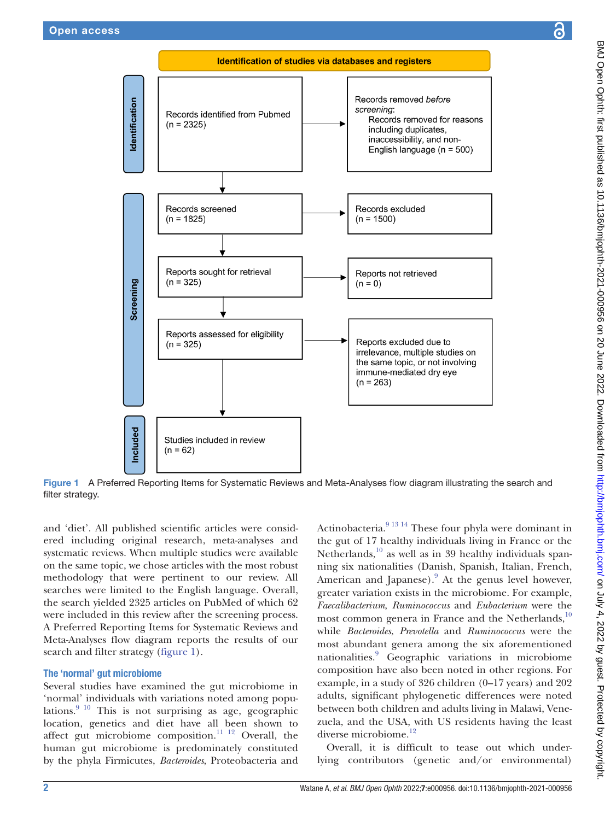

Figure 1 A Preferred Reporting Items for Systematic Reviews and Meta-Analyses flow diagram illustrating the search and filter strategy.

and 'diet'. All published scientific articles were considered including original research, meta-analyses and systematic reviews. When multiple studies were available on the same topic, we chose articles with the most robust methodology that were pertinent to our review. All searches were limited to the English language. Overall, the search yielded 2325 articles on PubMed of which 62 were included in this review after the screening process. A Preferred Reporting Items for Systematic Reviews and Meta-Analyses flow diagram reports the results of our search and filter strategy ([figure](#page-1-0) 1).

## The 'normal' gut microbiome

Several studies have examined the gut microbiome in 'normal' individuals with variations noted among populations.  $9^{10}$  This is not surprising as age, geographic location, genetics and diet have all been shown to affect gut microbiome composition.<sup>[11 12](#page-8-7)</sup> Overall, the human gut microbiome is predominately constituted by the phyla Firmicutes, *Bacteroides*, Proteobacteria and

<span id="page-1-0"></span>Actinobacteria[.9 13 14](#page-8-6) These four phyla were dominant in the gut of 17 healthy individuals living in France or the Netherlands, $^{10}$  $^{10}$  $^{10}$  as well as in 39 healthy individuals spanning six nationalities (Danish, Spanish, Italian, French, American and Japanese). $9$  At the genus level however, greater variation exists in the microbiome. For example, *Faecalibacterium*, *Ruminococcus* and *Eubacterium* were the most common genera in France and the Netherlands, $^{10}$  $^{10}$  $^{10}$ while *Bacteroides*, *Prevotella* and *Ruminococcus* were the most abundant genera among the six aforementioned nationalities.[9](#page-8-6) Geographic variations in microbiome composition have also been noted in other regions. For example, in a study of 326 children (0–17 years) and 202 adults, significant phylogenetic differences were noted between both children and adults living in Malawi, Venezuela, and the USA, with US residents having the least diverse microbiome. $^{12}$  $^{12}$  $^{12}$ 

Overall, it is difficult to tease out which underlying contributors (genetic and/or environmental)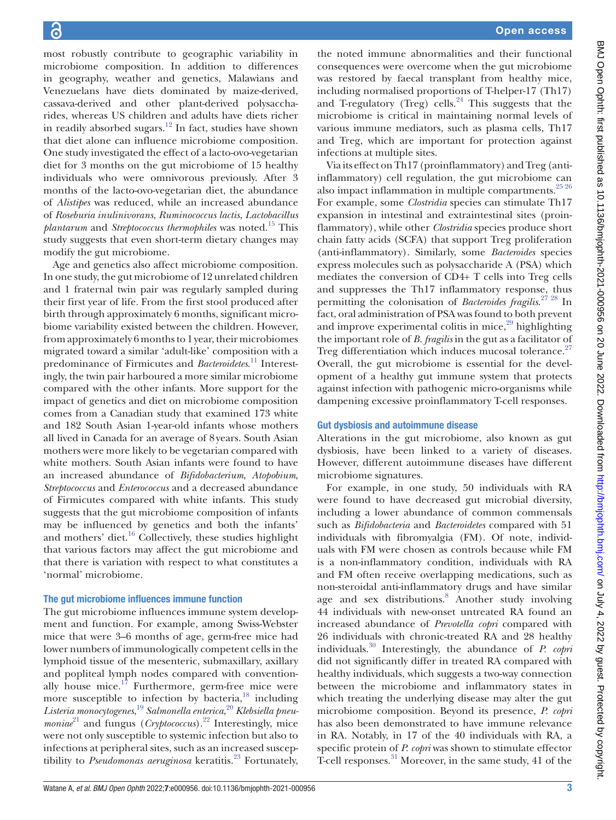most robustly contribute to geographic variability in microbiome composition. In addition to differences in geography, weather and genetics, Malawians and Venezuelans have diets dominated by maize-derived, cassava-derived and other plant-derived polysaccharides, whereas US children and adults have diets richer in readily absorbed sugars.<sup>12</sup> In fact, studies have shown that diet alone can influence microbiome composition. One study investigated the effect of a lacto-ovo-vegetarian diet for 3 months on the gut microbiome of 15 healthy individuals who were omnivorous previously. After 3 months of the lacto-ovo-vegetarian diet, the abundance of *Alistipes* was reduced, while an increased abundance of *Roseburia inulinivorans*, *Ruminococcus lactis*, *Lactobacillus plantarum* and *Streptococcus thermophiles* was noted[.15](#page-8-10) This study suggests that even short-term dietary changes may modify the gut microbiome.

Age and genetics also affect microbiome composition. In one study, the gut microbiome of 12 unrelated children and 1 fraternal twin pair was regularly sampled during their first year of life. From the first stool produced after birth through approximately 6 months, significant microbiome variability existed between the children. However, from approximately 6 months to 1year, their microbiomes migrated toward a similar 'adult-like' composition with a predominance of Firmicutes and *Bacteroidetes*. [11](#page-8-7) Interestingly, the twin pair harboured a more similar microbiome compared with the other infants. More support for the impact of genetics and diet on microbiome composition comes from a Canadian study that examined 173 white and 182 South Asian 1-year-old infants whose mothers all lived in Canada for an average of 8years. South Asian mothers were more likely to be vegetarian compared with white mothers. South Asian infants were found to have an increased abundance of *Bifidobacterium*, *Atopobium*, *Streptococcus* and *Enterococcus* and a decreased abundance of Firmicutes compared with white infants. This study suggests that the gut microbiome composition of infants may be influenced by genetics and both the infants' and mothers' diet.<sup>16</sup> Collectively, these studies highlight that various factors may affect the gut microbiome and that there is variation with respect to what constitutes a 'normal' microbiome.

# The gut microbiome influences immune function

The gut microbiome influences immune system development and function. For example, among Swiss-Webster mice that were 3–6 months of age, germ-free mice had lower numbers of immunologically competent cells in the lymphoid tissue of the mesenteric, submaxillary, axillary and popliteal lymph nodes compared with conventionally house mice. $17$  Furthermore, germ-free mice were more susceptible to infection by bacteria, $18$  including *Listeria monocytogenes*, [19](#page-8-14) *Salmonella enterica*, [20](#page-8-15) *Klebsiella pneumoniae*<sup>[21](#page-8-16)</sup> and fungus (*Cryptococcus*).<sup>22</sup> Interestingly, mice were not only susceptible to systemic infection but also to infections at peripheral sites, such as an increased susceptibility to *Pseudomonas aeruginosa* keratitis.<sup>23</sup> Fortunately,

the noted immune abnormalities and their functional consequences were overcome when the gut microbiome was restored by faecal transplant from healthy mice, including normalised proportions of T-helper-17 (Th17) and T-regulatory (Treg) cells. $24$  This suggests that the microbiome is critical in maintaining normal levels of various immune mediators, such as plasma cells, Th17 and Treg, which are important for protection against infections at multiple sites.

Via its effect on Th17 (proinflammatory) and Treg (antiinflammatory) cell regulation, the gut microbiome can also impact inflammation in multiple compartments. $25\,26$ For example, some *Clostridia* species can stimulate Th17 expansion in intestinal and extraintestinal sites (proinflammatory), while other *Clostridia* species produce short chain fatty acids (SCFA) that support Treg proliferation (anti-inflammatory). Similarly, some *Bacteroides* species express molecules such as polysaccharide A (PSA) which mediates the conversion of CD4+ T cells into Treg cells and suppresses the Th17 inflammatory response, thus permitting the colonisation of *Bacteroides fragilis*. [27 28](#page-9-0) In fact, oral administration of PSA was found to both prevent and improve experimental colitis in mice, $^{29}$  $^{29}$  $^{29}$  highlighting the important role of *B. fragilis* in the gut as a facilitator of Treg differentiation which induces mucosal tolerance.<sup>27</sup> Overall, the gut microbiome is essential for the development of a healthy gut immune system that protects against infection with pathogenic micro-organisms while dampening excessive proinflammatory T-cell responses.

# Gut dysbiosis and autoimmune disease

Alterations in the gut microbiome, also known as gut dysbiosis, have been linked to a variety of diseases. However, different autoimmune diseases have different microbiome signatures.

For example, in one study, 50 individuals with RA were found to have decreased gut microbial diversity, including a lower abundance of common commensals such as *Bifidobacteria* and *Bacteroidetes* compared with 51 individuals with fibromyalgia (FM). Of note, individuals with FM were chosen as controls because while FM is a non-inflammatory condition, individuals with RA and FM often receive overlapping medications, such as non-steroidal anti-inflammatory drugs and have similar age and sex distributions.<sup>[8](#page-8-21)</sup> Another study involving 44 individuals with new-onset untreated RA found an increased abundance of *Prevotella copri* compared with 26 individuals with chronic-treated RA and 28 healthy individuals.[30](#page-9-2) Interestingly, the abundance of *P. copri* did not significantly differ in treated RA compared with healthy individuals, which suggests a two-way connection between the microbiome and inflammatory states in which treating the underlying disease may alter the gut microbiome composition. Beyond its presence, *P. copri* has also been demonstrated to have immune relevance in RA. Notably, in 17 of the 40 individuals with RA, a specific protein of *P. copri* was shown to stimulate effector T-cell responses.<sup>31</sup> Moreover, in the same study, 41 of the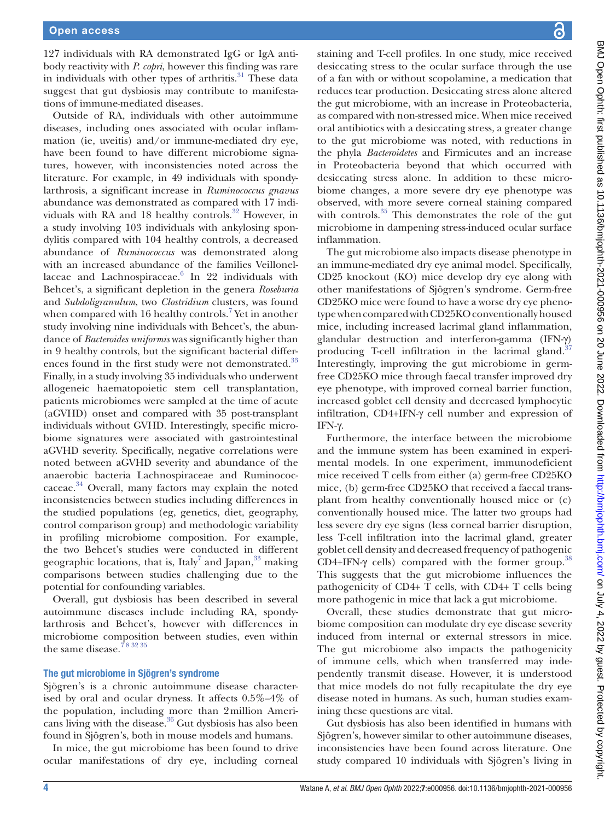127 individuals with RA demonstrated IgG or IgA antibody reactivity with *P. copri*, however this finding was rare in individuals with other types of arthritis. $31$  These data suggest that gut dysbiosis may contribute to manifestations of immune-mediated diseases.

Outside of RA, individuals with other autoimmune diseases, including ones associated with ocular inflammation (ie, uveitis) and/or immune-mediated dry eye, have been found to have different microbiome signatures, however, with inconsistencies noted across the literature. For example, in 49 individuals with spondylarthrosis, a significant increase in *Ruminococcus gnavus* abundance was demonstrated as compared with 17 individuals with RA and 18 healthy controls.<sup>32</sup> However, in a study involving 103 individuals with ankylosing spondylitis compared with 104 healthy controls, a decreased abundance of *Ruminococcus* was demonstrated along with an increased abundance of the families Veillonellaceae and Lachnospiraceae.<sup>6</sup> In 22 individuals with Behcet's, a significant depletion in the genera *Roseburia* and *Subdoligranulum*, two *Clostridium* clusters, was found when compared with 16 healthy controls.<sup>[7](#page-8-22)</sup> Yet in another study involving nine individuals with Behcet's, the abundance of *Bacteroides uniformis* was significantly higher than in 9 healthy controls, but the significant bacterial differ-ences found in the first study were not demonstrated.<sup>[33](#page-9-5)</sup> Finally, in a study involving 35 individuals who underwent allogeneic haematopoietic stem cell transplantation, patients microbiomes were sampled at the time of acute (aGVHD) onset and compared with 35 post-transplant individuals without GVHD. Interestingly, specific microbiome signatures were associated with gastrointestinal aGVHD severity. Specifically, negative correlations were noted between aGVHD severity and abundance of the anaerobic bacteria Lachnospiraceae and Ruminococcaceae. [34](#page-9-6) Overall, many factors may explain the noted inconsistencies between studies including differences in the studied populations (eg, genetics, diet, geography, control comparison group) and methodologic variability in profiling microbiome composition. For example, the two Behcet's studies were conducted in different geographic locations, that is, Italy<sup>7</sup> and Japan, $^{33}$  making comparisons between studies challenging due to the potential for confounding variables.

Overall, gut dysbiosis has been described in several autoimmune diseases include including RA, spondylarthrosis and Behcet's, however with differences in microbiome composition between studies, even within the same disease.<sup>78 32 35</sup>

## The gut microbiome in Sjögren's syndrome

Sjögren's is a chronic autoimmune disease characterised by oral and ocular dryness. It affects 0.5%–4% of the population, including more than 2million Americans living with the disease.<sup>36</sup> Gut dysbiosis has also been found in Sjögren's, both in mouse models and humans.

In mice, the gut microbiome has been found to drive ocular manifestations of dry eye, including corneal

staining and T-cell profiles. In one study, mice received desiccating stress to the ocular surface through the use of a fan with or without scopolamine, a medication that reduces tear production. Desiccating stress alone altered the gut microbiome, with an increase in Proteobacteria, as compared with non-stressed mice. When mice received oral antibiotics with a desiccating stress, a greater change to the gut microbiome was noted, with reductions in the phyla *Bacteroidetes* and Firmicutes and an increase in Proteobacteria beyond that which occurred with desiccating stress alone. In addition to these microbiome changes, a more severe dry eye phenotype was observed, with more severe corneal staining compared with controls. $35$  This demonstrates the role of the gut microbiome in dampening stress-induced ocular surface inflammation.

The gut microbiome also impacts disease phenotype in an immune-mediated dry eye animal model. Specifically, CD25 knockout (KO) mice develop dry eye along with other manifestations of Sjögren's syndrome. Germ-free CD25KO mice were found to have a worse dry eye phenotype when compared with CD25KO conventionally housed mice, including increased lacrimal gland inflammation, glandular destruction and interferon-gamma (IFN-γ) producing T-cell infiltration in the lacrimal gland.<sup>37</sup> Interestingly, improving the gut microbiome in germfree CD25KO mice through faecal transfer improved dry eye phenotype, with improved corneal barrier function, increased goblet cell density and decreased lymphocytic infiltration, CD4+IFN-γ cell number and expression of IFN-γ.

Furthermore, the interface between the microbiome and the immune system has been examined in experimental models. In one experiment, immunodeficient mice received T cells from either (a) germ-free CD25KO mice, (b) germ-free CD25KO that received a faecal transplant from healthy conventionally housed mice or (c) conventionally housed mice. The latter two groups had less severe dry eye signs (less corneal barrier disruption, less T-cell infiltration into the lacrimal gland, greater goblet cell density and decreased frequency of pathogenic CD4+IFN- $\gamma$  cells) compared with the former group.<sup>38</sup> This suggests that the gut microbiome influences the pathogenicity of CD4+ T cells, with CD4+ T cells being more pathogenic in mice that lack a gut microbiome.

Overall, these studies demonstrate that gut microbiome composition can modulate dry eye disease severity induced from internal or external stressors in mice. The gut microbiome also impacts the pathogenicity of immune cells, which when transferred may independently transmit disease. However, it is understood that mice models do not fully recapitulate the dry eye disease noted in humans. As such, human studies examining these questions are vital.

Gut dysbiosis has also been identified in humans with Sjögren's, however similar to other autoimmune diseases, inconsistencies have been found across literature. One study compared 10 individuals with Sjögren's living in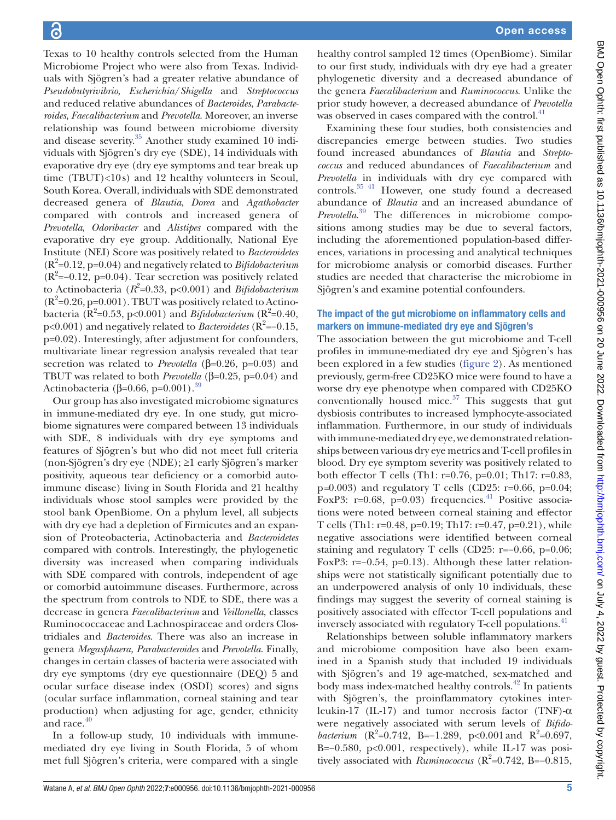Texas to 10 healthy controls selected from the Human Microbiome Project who were also from Texas. Individuals with Sjögren's had a greater relative abundance of *Pseudobutyrivibrio*, *Escherichia*/*Shigella* and *Streptococcus* and reduced relative abundances of *Bacteroides*, *Parabacteroides*, *Faecalibacterium* and *Prevotella*. Moreover, an inverse relationship was found between microbiome diversity and disease severity.[35](#page-9-8) Another study examined 10 individuals with Sjögren's dry eye (SDE), 14 individuals with evaporative dry eye (dry eye symptoms and tear break up time (TBUT)<10s) and 12 healthy volunteers in Seoul, South Korea. Overall, individuals with SDE demonstrated decreased genera of *Blautia*, *Dorea* and *Agathobacter* compared with controls and increased genera of *Prevotella*, *Odoribacter* and *Alistipes* compared with the evaporative dry eye group. Additionally, National Eye Institute (NEI) Score was positively related to *Bacteroidetes* (R<sup>2</sup> =0.12, p=0.04) and negatively related to *Bifidobacterium*  $(R<sup>2</sup>=-0.12, p=0.04)$ . Tear secretion was positively related to Actinobacteria ( $R^2$ =0.33, p<0.001) and *Bifidobacterium*  $(R<sup>2</sup>=0.26, p=0.001)$ . TBUT was positively related to Actinobacteria ( $\mathbb{R}^2$ =0.53, p<0.001) and *Bifidobacterium* ( $\mathbb{R}^2$ =0.40, p<0.001) and negatively related to *Bacteroidetes* (R<sup>2</sup>=−0.15, p=0.02). Interestingly, after adjustment for confounders, multivariate linear regression analysis revealed that tear secretion was related to *Prevotella* (β=0.26, p=0.03) and TBUT was related to both *Prevotella* (β=0.25, p=0.04) and Actinobacteria (β=0.66, p=0.001).<sup>39</sup>

Our group has also investigated microbiome signatures in immune-mediated dry eye. In one study, gut microbiome signatures were compared between 13 individuals with SDE, 8 individuals with dry eye symptoms and features of Sjögren's but who did not meet full criteria (non-Sjögren's dry eye (NDE); ≥1 early Sjögren's marker positivity, aqueous tear deficiency or a comorbid autoimmune disease) living in South Florida and 21 healthy individuals whose stool samples were provided by the stool bank OpenBiome. On a phylum level, all subjects with dry eye had a depletion of Firmicutes and an expansion of Proteobacteria, Actinobacteria and *Bacteroidetes* compared with controls. Interestingly, the phylogenetic diversity was increased when comparing individuals with SDE compared with controls, independent of age or comorbid autoimmune diseases. Furthermore, across the spectrum from controls to NDE to SDE, there was a decrease in genera *Faecalibacterium* and *Veillonella*, classes Ruminococcaceae and Lachnospiraceae and orders Clostridiales and *Bacteroides*. There was also an increase in genera *Megasphaera*, *Parabacteroides* and *Prevotella*. Finally, changes in certain classes of bacteria were associated with dry eye symptoms (dry eye questionnaire (DEQ) 5 and ocular surface disease index (OSDI) scores) and signs (ocular surface inflammation, corneal staining and tear production) when adjusting for age, gender, ethnicity and race.<sup>40</sup>

In a follow-up study, 10 individuals with immunemediated dry eye living in South Florida, 5 of whom met full Sjögren's criteria, were compared with a single

healthy control sampled 12 times (OpenBiome). Similar to our first study, individuals with dry eye had a greater phylogenetic diversity and a decreased abundance of the genera *Faecalibacterium* and *Ruminococcus*. Unlike the prior study however, a decreased abundance of *Prevotella* was observed in cases compared with the control.<sup>[41](#page-9-13)</sup>

Examining these four studies, both consistencies and discrepancies emerge between studies. Two studies found increased abundances of *Blautia* and *Streptococcus* and reduced abundances of *Faecalibacterium* and *Prevotella* in individuals with dry eye compared with controls.[35 41](#page-9-8) However, one study found a decreased abundance of *Blautia* and an increased abundance of *Prevotella*. [39](#page-9-11) The differences in microbiome compositions among studies may be due to several factors, including the aforementioned population-based differences, variations in processing and analytical techniques for microbiome analysis or comorbid diseases. Further studies are needed that characterise the microbiome in Sjögren's and examine potential confounders.

# The impact of the gut microbiome on inflammatory cells and markers on immune-mediated dry eye and Sjögren's

The association between the gut microbiome and T-cell profiles in immune-mediated dry eye and Sjögren's has been explored in a few studies ([figure](#page-5-0) 2). As mentioned previously, germ-free CD25KO mice were found to have a worse dry eye phenotype when compared with CD25KO conventionally housed mice. $37$  This suggests that gut dysbiosis contributes to increased lymphocyte-associated inflammation. Furthermore, in our study of individuals with immune-mediated dry eye, we demonstrated relationships between various dry eye metrics and T-cell profiles in blood. Dry eye symptom severity was positively related to both effector T cells (Th1: r=0.76, p=0.01; Th17: r=0.83, p*=*0.003) and regulatory T cells (CD25: r=0.66, p=0.04; FoxP3:  $r=0.68$ ,  $p=0.03$ ) frequencies.<sup>41</sup> Positive associations were noted between corneal staining and effector T cells (Th1: r=0.48, p=0.19; Th17: r=0.47, p=0.21), while negative associations were identified between corneal staining and regulatory T cells (CD25: r=−0.66, p=0.06; FoxP3: r=−0.54, p=0.13). Although these latter relationships were not statistically significant potentially due to an underpowered analysis of only 10 individuals, these findings may suggest the severity of corneal staining is positively associated with effector T-cell populations and inversely associated with regulatory T-cell populations.<sup>41</sup>

Relationships between soluble inflammatory markers and microbiome composition have also been examined in a Spanish study that included 19 individuals with Sjögren's and 19 age-matched, sex-matched and body mass index-matched healthy controls.<sup>[42](#page-9-14)</sup> In patients with Sjögren's, the proinflammatory cytokines interleukin-17 (IL-17) and tumor necrosis factor (TNF)-α were negatively associated with serum levels of *Bifidobacterium* ( $R^2 = 0.742$ , B = -1.289, p < 0.001 and  $R^2 = 0.697$ , B=−0.580, p<0.001, respectively), while IL-17 was positively associated with *Ruminococcus* (R<sup>2</sup>=0.742, B=-0.815,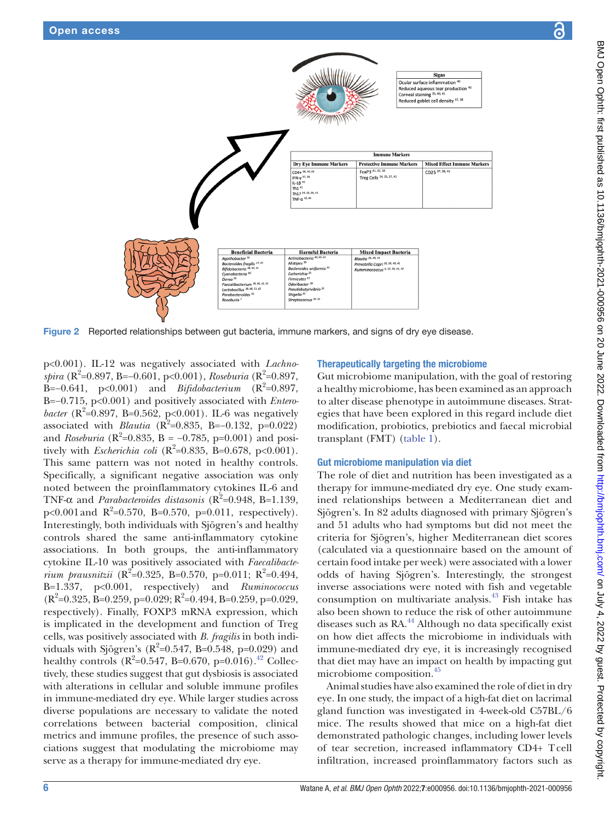

Figure 2 Reported relationships between gut bacteria, immune markers, and signs of dry eye disease.

p<0.001). IL-12 was negatively associated with *Lachnospira* (R<sup>2</sup>=0.897, B=−0.601, p<0.001), *Roseburia* (R<sup>2</sup>=0.897,  $\dot{B} = -0.641$ , p<0.001) and *Bifidobacterium* ( $R^2 = 0.897$ , B=−0.715, p<0.001) and positively associated with *Enterobacter* ( $R^2 = 0.897$ , B=0.562, p<0.001). IL-6 was negatively associated with *Blautia* ( $R^2$ =0.835, B=−0.132, p=0.022) and *Roseburia* ( $R^2 = 0.835$ , B = -0.785, p=0.001) and positively with *Escherichia coli* ( $R^2$ =0.835, B=0.678, p<0.001). This same pattern was not noted in healthy controls. Specifically, a significant negative association was only noted between the proinflammatory cytokines IL-6 and TNF- $\alpha$  and *Parabacteroides distasonis* ( $R^2$ =0.948, B=1.139, p<0.001 and  $R^2=0.570$ , B=0.570, p=0.011, respectively). Interestingly, both individuals with Sjögren's and healthy controls shared the same anti-inflammatory cytokine associations. In both groups, the anti-inflammatory cytokine IL-10 was positively associated with *Faecalibacterium prausnitzii* ( $R^2 = 0.325$ , B=0.570, p=0.011;  $R^2 = 0.494$ , B=1.337, p<0.001, respectively) and *Ruminococcus*  $(R^2=0.325, B=0.259, p=0.029; R^2=0.494, B=0.259, p=0.029,$ respectively). Finally, FOXP3 mRNA expression, which is implicated in the development and function of Treg cells, was positively associated with *B. fragilis* in both individuals with Sjögren's ( $R^2 = 0.547$ , B=0.548, p=0.029) and healthy controls ( $R^2 = 0.547$ , B=0.670, p=0.016).<sup>42</sup> Collectively, these studies suggest that gut dysbiosis is associated with alterations in cellular and soluble immune profiles in immune-mediated dry eye. While larger studies across diverse populations are necessary to validate the noted correlations between bacterial composition, clinical metrics and immune profiles, the presence of such associations suggest that modulating the microbiome may serve as a therapy for immune-mediated dry eye.

# <span id="page-5-0"></span>Therapeutically targeting the microbiome

Gut microbiome manipulation, with the goal of restoring a healthy microbiome, has been examined as an approach to alter disease phenotype in autoimmune diseases. Strategies that have been explored in this regard include diet modification, probiotics, prebiotics and faecal microbial transplant (FMT) [\(table](#page-6-0) 1).

# Gut microbiome manipulation via diet

The role of diet and nutrition has been investigated as a therapy for immune-mediated dry eye. One study examined relationships between a Mediterranean diet and Sjögren's. In 82 adults diagnosed with primary Sjögren's and 51 adults who had symptoms but did not meet the criteria for Sjögren's, higher Mediterranean diet scores (calculated via a questionnaire based on the amount of certain food intake per week) were associated with a lower odds of having Sjögren's. Interestingly, the strongest inverse associations were noted with fish and vegetable consumption on multivariate analysis.[43](#page-9-15) Fish intake has also been shown to reduce the risk of other autoimmune diseases such as RA.<sup>44</sup> Although no data specifically exist on how diet affects the microbiome in individuals with immune-mediated dry eye, it is increasingly recognised that diet may have an impact on health by impacting gut microbiome composition[.45](#page-9-17)

Animal studies have also examined the role of diet in dry eye. In one study, the impact of a high-fat diet on lacrimal gland function was investigated in 4-week-old C57BL/6 mice. The results showed that mice on a high-fat diet demonstrated pathologic changes, including lower levels of tear secretion, increased inflammatory CD4+ Tcell infiltration, increased proinflammatory factors such as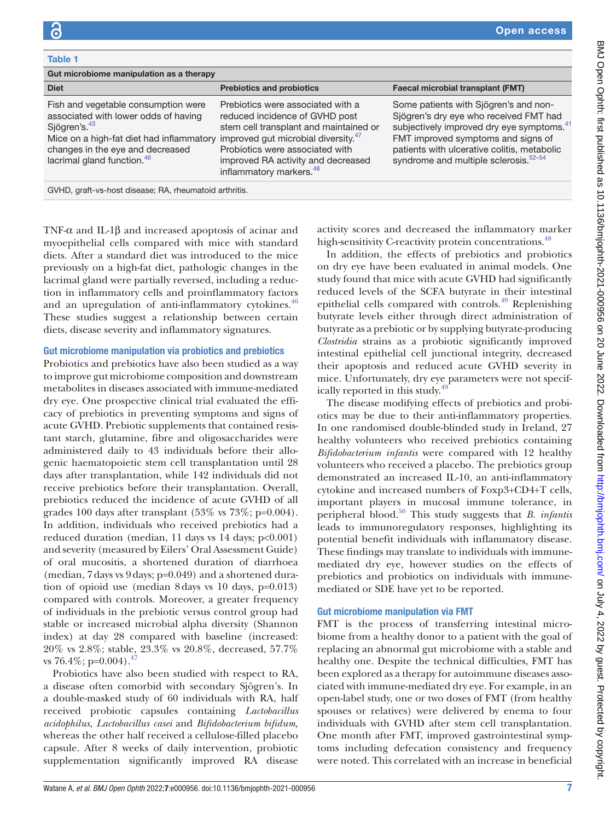<span id="page-6-0"></span>

| Table 1                                                                                                                                                                                                                           |                                                                                                                                                                                                                                                                                  |                                                                                                                                                                                                                                                                                    |
|-----------------------------------------------------------------------------------------------------------------------------------------------------------------------------------------------------------------------------------|----------------------------------------------------------------------------------------------------------------------------------------------------------------------------------------------------------------------------------------------------------------------------------|------------------------------------------------------------------------------------------------------------------------------------------------------------------------------------------------------------------------------------------------------------------------------------|
| Gut microbiome manipulation as a therapy                                                                                                                                                                                          |                                                                                                                                                                                                                                                                                  |                                                                                                                                                                                                                                                                                    |
| <b>Diet</b>                                                                                                                                                                                                                       | <b>Prebiotics and probiotics</b>                                                                                                                                                                                                                                                 | <b>Faecal microbial transplant (FMT)</b>                                                                                                                                                                                                                                           |
| Fish and vegetable consumption were<br>associated with lower odds of having<br>Sjögren's. <sup>43</sup><br>Mice on a high-fat diet had inflammatory<br>changes in the eye and decreased<br>lacrimal gland function. <sup>46</sup> | Prebiotics were associated with a<br>reduced incidence of GVHD post<br>stem cell transplant and maintained or<br>improved gut microbial diversity. <sup>47</sup><br>Probiotics were associated with<br>improved RA activity and decreased<br>inflammatory markers. <sup>48</sup> | Some patients with Sjögren's and non-<br>Sjögren's dry eye who received FMT had<br>subjectively improved dry eye symptoms. <sup>41</sup><br>FMT improved symptoms and signs of<br>patients with ulcerative colitis, metabolic<br>syndrome and multiple sclerosis. <sup>52-54</sup> |
| GVHD, graft-vs-host disease; RA, rheumatoid arthritis.                                                                                                                                                                            |                                                                                                                                                                                                                                                                                  |                                                                                                                                                                                                                                                                                    |

TNF-α and IL-1β and increased apoptosis of acinar and myoepithelial cells compared with mice with standard diets. After a standard diet was introduced to the mice previously on a high-fat diet, pathologic changes in the lacrimal gland were partially reversed, including a reduction in inflammatory cells and proinflammatory factors and an upregulation of anti-inflammatory cytokines.<sup>46</sup> These studies suggest a relationship between certain diets, disease severity and inflammatory signatures.

#### Gut microbiome manipulation via probiotics and prebiotics

Probiotics and prebiotics have also been studied as a way to improve gut microbiome composition and downstream metabolites in diseases associated with immune-mediated dry eye. One prospective clinical trial evaluated the efficacy of prebiotics in preventing symptoms and signs of acute GVHD. Prebiotic supplements that contained resistant starch, glutamine, fibre and oligosaccharides were administered daily to 43 individuals before their allogenic haematopoietic stem cell transplantation until 28 days after transplantation, while 142 individuals did not receive prebiotics before their transplantation. Overall, prebiotics reduced the incidence of acute GVHD of all grades 100 days after transplant  $(53\% \text{ vs } 73\%; \text{p=0.004}).$ In addition, individuals who received prebiotics had a reduced duration (median, 11 days vs 14 days;  $p<0.001$ ) and severity (measured by Eilers' Oral Assessment Guide) of oral mucositis, a shortened duration of diarrhoea (median, 7days vs 9days; p=0.049) and a shortened duration of opioid use (median 8days vs 10 days, p=0.013) compared with controls. Moreover, a greater frequency of individuals in the prebiotic versus control group had stable or increased microbial alpha diversity (Shannon index) at day 28 compared with baseline (increased: 20% vs 2.8%; stable, 23.3% vs 20.8%, decreased, 57.7% vs 76.4%; p=0.004).<sup>[47](#page-9-19)</sup>

Probiotics have also been studied with respect to RA, a disease often comorbid with secondary Sjögren's. In a double-masked study of 60 individuals with RA, half received probiotic capsules containing *Lactobacillus acidophilus, Lactobacillus casei* and *Bifidobacterium bifidum,* whereas the other half received a cellulose-filled placebo capsule. After 8 weeks of daily intervention, probiotic supplementation significantly improved RA disease

activity scores and decreased the inflammatory marker high-sensitivity C-reactivity protein concentrations.<sup>48</sup>

In addition, the effects of prebiotics and probiotics on dry eye have been evaluated in animal models. One study found that mice with acute GVHD had significantly reduced levels of the SCFA butyrate in their intestinal epithelial cells compared with controls. $49$  Replenishing butyrate levels either through direct administration of butyrate as a prebiotic or by supplying butyrate-producing *Clostridia* strains as a probiotic significantly improved intestinal epithelial cell junctional integrity, decreased their apoptosis and reduced acute GVHD severity in mice. Unfortunately, dry eye parameters were not specifically reported in this study. $49$ 

The disease modifying effects of prebiotics and probiotics may be due to their anti-inflammatory properties. In one randomised double-blinded study in Ireland, 27 healthy volunteers who received prebiotics containing *Bifidobacterium infantis* were compared with 12 healthy volunteers who received a placebo. The prebiotics group demonstrated an increased IL-10, an anti-inflammatory cytokine and increased numbers of Foxp3+CD4+T cells, important players in mucosal immune tolerance, in peripheral blood[.50](#page-9-22) This study suggests that *B. infantis* leads to immunoregulatory responses, highlighting its potential benefit individuals with inflammatory disease. These findings may translate to individuals with immunemediated dry eye, however studies on the effects of prebiotics and probiotics on individuals with immunemediated or SDE have yet to be reported.

## Gut microbiome manipulation via FMT

FMT is the process of transferring intestinal microbiome from a healthy donor to a patient with the goal of replacing an abnormal gut microbiome with a stable and healthy one. Despite the technical difficulties, FMT has been explored as a therapy for autoimmune diseases associated with immune-mediated dry eye. For example, in an open-label study, one or two doses of FMT (from healthy spouses or relatives) were delivered by enema to four individuals with GVHD after stem cell transplantation. One month after FMT, improved gastrointestinal symptoms including defecation consistency and frequency were noted. This correlated with an increase in beneficial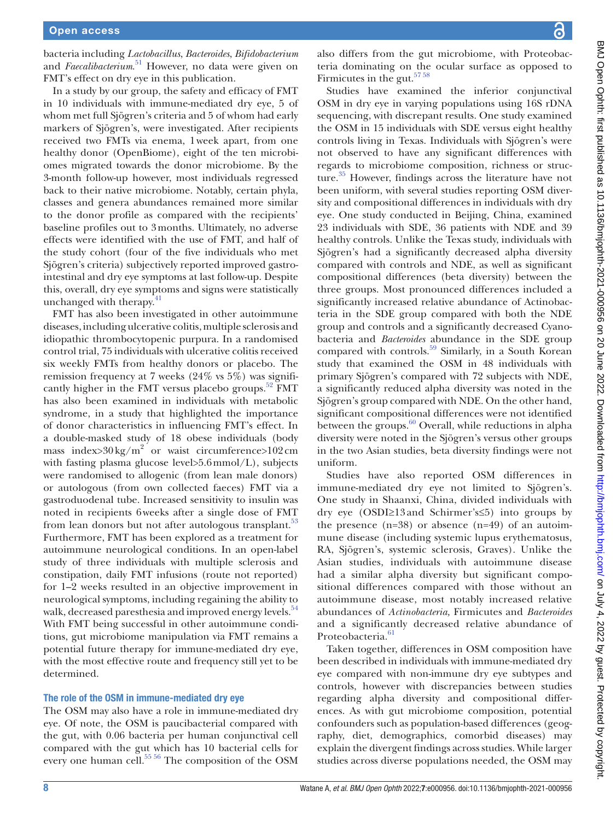bacteria including *Lactobacillus*, *Bacteroides*, *Bifidobacterium* and *Faecalibacterium*. [51](#page-9-24) However, no data were given on FMT's effect on dry eye in this publication.

In a study by our group, the safety and efficacy of FMT in 10 individuals with immune-mediated dry eye, 5 of whom met full Sjögren's criteria and 5 of whom had early markers of Sjögren's, were investigated. After recipients received two FMTs via enema, 1week apart, from one healthy donor (OpenBiome), eight of the ten microbiomes migrated towards the donor microbiome. By the 3-month follow-up however, most individuals regressed back to their native microbiome. Notably, certain phyla, classes and genera abundances remained more similar to the donor profile as compared with the recipients' baseline profiles out to 3months. Ultimately, no adverse effects were identified with the use of FMT, and half of the study cohort (four of the five individuals who met Sjögren's criteria) subjectively reported improved gastrointestinal and dry eye symptoms at last follow-up. Despite this, overall, dry eye symptoms and signs were statistically unchanged with therapy.<sup>[41](#page-9-13)</sup>

FMT has also been investigated in other autoimmune diseases, including ulcerative colitis, multiple sclerosis and idiopathic thrombocytopenic purpura. In a randomised control trial, 75 individuals with ulcerative colitis received six weekly FMTs from healthy donors or placebo. The remission frequency at 7 weeks (24% vs 5%) was significantly higher in the FMT versus placebo groups. $52$  FMT has also been examined in individuals with metabolic syndrome, in a study that highlighted the importance of donor characteristics in influencing FMT's effect. In a double-masked study of 18 obese individuals (body mass index> $30 \text{ kg/m}^2$  or waist circumference> $102 \text{ cm}$ with fasting plasma glucose level>5.6mmol/L), subjects were randomised to allogenic (from lean male donors) or autologous (from own collected faeces) FMT via a gastroduodenal tube. Increased sensitivity to insulin was noted in recipients 6weeks after a single dose of FMT from lean donors but not after autologous transplant.<sup>53</sup> Furthermore, FMT has been explored as a treatment for autoimmune neurological conditions. In an open-label study of three individuals with multiple sclerosis and constipation, daily FMT infusions (route not reported) for 1–2 weeks resulted in an objective improvement in neurological symptoms, including regaining the ability to walk, decreased paresthesia and improved energy levels.<sup>54</sup> With FMT being successful in other autoimmune conditions, gut microbiome manipulation via FMT remains a potential future therapy for immune-mediated dry eye, with the most effective route and frequency still yet to be determined.

## The role of the OSM in immune-mediated dry eye

The OSM may also have a role in immune-mediated dry eye. Of note, the OSM is paucibacterial compared with the gut, with 0.06 bacteria per human conjunctival cell compared with the gut which has 10 bacterial cells for every one human cell.<sup>55 56</sup> The composition of the OSM

BMJ Open Ophth: first published as 10.1136/bmjophth-2021-000956 on 20 June 2022. Downloaded from http://bmjophth.bmj.com/ on July 4, 2022 by guest. Protected by copyright BMJ Open Ophth: first published as 10.1136/bmjophth-2021-000956 on 20 June 2022. Downloaded from <http://bmjophth.bmj.com/> Aniy 4, 2022 by guest. Protected by copyright.

also differs from the gut microbiome, with Proteobacteria dominating on the ocular surface as opposed to Firmicutes in the gut.<sup>5758</sup>

Studies have examined the inferior conjunctival OSM in dry eye in varying populations using 16S rDNA sequencing, with discrepant results. One study examined the OSM in 15 individuals with SDE versus eight healthy controls living in Texas. Individuals with Sjögren's were not observed to have any significant differences with regards to microbiome composition, richness or structure.<sup>35</sup> However, findings across the literature have not been uniform, with several studies reporting OSM diversity and compositional differences in individuals with dry eye. One study conducted in Beijing, China, examined 23 individuals with SDE, 36 patients with NDE and 39 healthy controls. Unlike the Texas study, individuals with Sjögren's had a significantly decreased alpha diversity compared with controls and NDE, as well as significant compositional differences (beta diversity) between the three groups. Most pronounced differences included a significantly increased relative abundance of Actinobacteria in the SDE group compared with both the NDE group and controls and a significantly decreased Cyanobacteria and *Bacteroides* abundance in the SDE group compared with controls.<sup>59</sup> Similarly, in a South Korean study that examined the OSM in 48 individuals with primary Sjögren's compared with 72 subjects with NDE, a significantly reduced alpha diversity was noted in the Sjögren's group compared with NDE. On the other hand, significant compositional differences were not identified between the groups.<sup>[60](#page-9-30)</sup> Overall, while reductions in alpha diversity were noted in the Sjögren's versus other groups in the two Asian studies, beta diversity findings were not uniform.

Studies have also reported OSM differences in immune-mediated dry eye not limited to Sjögren's. One study in Shaanxi, China, divided individuals with dry eye (OSDI≥13 and Schirmer's≤5) into groups by the presence  $(n=38)$  or absence  $(n=49)$  of an autoimmune disease (including systemic lupus erythematosus, RA, Sjögren's, systemic sclerosis, Graves). Unlike the Asian studies, individuals with autoimmune disease had a similar alpha diversity but significant compositional differences compared with those without an autoimmune disease, most notably increased relative abundances of *Actinobacteria,* Firmicutes and *Bacteroides* and a significantly decreased relative abundance of Proteobacteria.<sup>[61](#page-9-31)</sup>

Taken together, differences in OSM composition have been described in individuals with immune-mediated dry eye compared with non-immune dry eye subtypes and controls, however with discrepancies between studies regarding alpha diversity and compositional differences. As with gut microbiome composition, potential confounders such as population-based differences (geography, diet, demographics, comorbid diseases) may explain the divergent findings across studies. While larger studies across diverse populations needed, the OSM may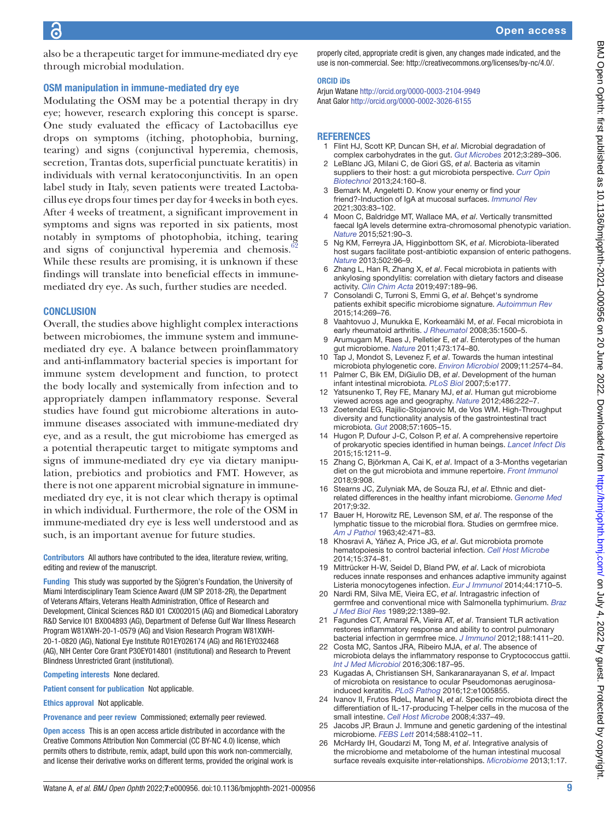also be a therapeutic target for immune-mediated dry eye through microbial modulation.

## OSM manipulation in immune-mediated dry eye

Modulating the OSM may be a potential therapy in dry eye; however, research exploring this concept is sparse. One study evaluated the efficacy of Lactobacillus eye drops on symptoms (itching, photophobia, burning, tearing) and signs (conjunctival hyperemia, chemosis, secretion, Trantas dots, superficial punctuate keratitis) in individuals with vernal keratoconjunctivitis. In an open label study in Italy, seven patients were treated Lactobacillus eye drops four times per day for 4weeks in both eyes. After 4 weeks of treatment, a significant improvement in symptoms and signs was reported in six patients, most notably in symptoms of photophobia, itching, tearing and signs of conjunctival hyperemia and chemosis.<sup>6</sup> While these results are promising, it is unknown if these findings will translate into beneficial effects in immunemediated dry eye. As such, further studies are needed.

#### **CONCLUSION**

Overall, the studies above highlight complex interactions between microbiomes, the immune system and immunemediated dry eye. A balance between proinflammatory and anti-inflammatory bacterial species is important for immune system development and function, to protect the body locally and systemically from infection and to appropriately dampen inflammatory response. Several studies have found gut microbiome alterations in autoimmune diseases associated with immune-mediated dry eye, and as a result, the gut microbiome has emerged as a potential therapeutic target to mitigate symptoms and signs of immune-mediated dry eye via dietary manipulation, prebiotics and probiotics and FMT. However, as there is not one apparent microbial signature in immunemediated dry eye, it is not clear which therapy is optimal in which individual. Furthermore, the role of the OSM in immune-mediated dry eye is less well understood and as such, is an important avenue for future studies.

Contributors All authors have contributed to the idea, literature review, writing, editing and review of the manuscript.

Funding This study was supported by the Sjögren's Foundation, the University of Miami Interdisciplinary Team Science Award (UM SIP 2018-2R), the Department of Veterans Affairs, Veterans Health Administration, Office of Research and Development, Clinical Sciences R&D I01 CX002015 (AG) and Biomedical Laboratory R&D Service I01 BX004893 (AG), Department of Defense Gulf War Illness Research Program W81XWH-20-1-0579 (AG) and Vision Research Program W81XWH-20-1-0820 (AG), National Eye Institute R01EY026174 (AG) and R61EY032468 (AG), NIH Center Core Grant P30EY014801 (institutional) and Research to Prevent Blindness Unrestricted Grant (institutional).

Competing interests None declared.

Patient consent for publication Not applicable.

Ethics approval Not applicable.

Provenance and peer review Commissioned; externally peer reviewed.

Open access This is an open access article distributed in accordance with the Creative Commons Attribution Non Commercial (CC BY-NC 4.0) license, which permits others to distribute, remix, adapt, build upon this work non-commercially, and license their derivative works on different terms, provided the original work is properly cited, appropriate credit is given, any changes made indicated, and the use is non-commercial. See:<http://creativecommons.org/licenses/by-nc/4.0/>.

## ORCID iDs

Arjun Watane<http://orcid.org/0000-0003-2104-9949> Anat Galor <http://orcid.org/0000-0002-3026-6155>

#### **REFERENCES**

- <span id="page-8-0"></span>1 Flint HJ, Scott KP, Duncan SH, *et al*. Microbial degradation of complex carbohydrates in the gut. *[Gut Microbes](http://dx.doi.org/10.4161/gmic.19897)* 2012;3:289–306.
- <span id="page-8-1"></span>2 LeBlanc JG, Milani C, de Giori GS, *et al*. Bacteria as vitamin suppliers to their host: a gut microbiota perspective. *[Curr Opin](http://dx.doi.org/10.1016/j.copbio.2012.08.005)  [Biotechnol](http://dx.doi.org/10.1016/j.copbio.2012.08.005)* 2013;24:160–8.
- <span id="page-8-2"></span>3 Bemark M, Angeletti D. Know your enemy or find your friend?-Induction of IgA at mucosal surfaces. *[Immunol Rev](http://dx.doi.org/10.1111/imr.13014)* 2021;303:83–102.
- <span id="page-8-3"></span>4 Moon C, Baldridge MT, Wallace MA, *et al*. Vertically transmitted faecal IgA levels determine extra-chromosomal phenotypic variation. *[Nature](http://dx.doi.org/10.1038/nature14139)* 2015;521:90–3.
- <span id="page-8-4"></span>5 Ng KM, Ferreyra JA, Higginbottom SK, *et al*. Microbiota-liberated host sugars facilitate post-antibiotic expansion of enteric pathogens. *[Nature](http://dx.doi.org/10.1038/nature12503)* 2013;502:96–9.
- <span id="page-8-5"></span>6 Zhang L, Han R, Zhang X, *et al*. Fecal microbiota in patients with ankylosing spondylitis: correlation with dietary factors and disease activity. *[Clin Chim Acta](http://dx.doi.org/10.1016/j.cca.2019.07.038)* 2019;497:189–96.
- <span id="page-8-22"></span>7 Consolandi C, Turroni S, Emmi G, *et al*. Behçet's syndrome patients exhibit specific microbiome signature. *[Autoimmun Rev](http://dx.doi.org/10.1016/j.autrev.2014.11.009)* 2015;14:269–76.
- <span id="page-8-21"></span>8 Vaahtovuo J, Munukka E, Korkeamäki M, *et al*. Fecal microbiota in early rheumatoid arthritis. *[J Rheumatol](http://www.ncbi.nlm.nih.gov/pubmed/18528968)* 2008;35:1500–5.
- <span id="page-8-6"></span>9 Arumugam M, Raes J, Pelletier E, *et al*. Enterotypes of the human gut microbiome. *[Nature](http://dx.doi.org/10.1038/nature09944)* 2011;473:174–80.
- <span id="page-8-8"></span>10 Tap J, Mondot S, Levenez F, *et al*. Towards the human intestinal microbiota phylogenetic core. *[Environ Microbiol](http://dx.doi.org/10.1111/j.1462-2920.2009.01982.x)* 2009;11:2574–84.
- <span id="page-8-7"></span>11 Palmer C, Bik EM, DiGiulio DB, *et al*. Development of the human infant intestinal microbiota. *[PLoS Biol](http://dx.doi.org/10.1371/journal.pbio.0050177)* 2007;5:e177.
- <span id="page-8-9"></span>12 Yatsunenko T, Rey FE, Manary MJ, *et al*. Human gut microbiome viewed across age and geography. *[Nature](http://dx.doi.org/10.1038/nature11053)* 2012;486:222–7.
- 13 Zoetendal EG, Rajilic-Stojanovic M, de Vos WM. High-Throughput diversity and functionality analysis of the gastrointestinal tract microbiota. *[Gut](http://dx.doi.org/10.1136/gut.2007.133603)* 2008;57:1605–15.
- 14 Hugon P, Dufour J-C, Colson P, *et al*. A comprehensive repertoire of prokaryotic species identified in human beings. *[Lancet Infect Dis](http://dx.doi.org/10.1016/S1473-3099(15)00293-5)* 2015;15:1211–9.
- <span id="page-8-10"></span>15 Zhang C, Björkman A, Cai K, *et al*. Impact of a 3-Months vegetarian diet on the gut microbiota and immune repertoire. *[Front Immunol](http://dx.doi.org/10.3389/fimmu.2018.00908)* 2018;9:908.
- <span id="page-8-11"></span>16 Stearns JC, Zulyniak MA, de Souza RJ, *et al*. Ethnic and dietrelated differences in the healthy infant microbiome. *[Genome Med](http://dx.doi.org/10.1186/s13073-017-0421-5)* 2017;9:32.
- <span id="page-8-12"></span>17 Bauer H, Horowitz RE, Levenson SM, *et al*. The response of the lymphatic tissue to the microbial flora. Studies on germfree mice. *[Am J Pathol](http://www.ncbi.nlm.nih.gov/pubmed/13966929)* 1963;42:471–83.
- <span id="page-8-13"></span>18 Khosravi A, Yáñez A, Price JG, *et al*. Gut microbiota promote hematopoiesis to control bacterial infection. *[Cell Host Microbe](http://dx.doi.org/10.1016/j.chom.2014.02.006)* 2014;15:374–81.
- <span id="page-8-14"></span>19 Mittrücker H-W, Seidel D, Bland PW, *et al*. Lack of microbiota reduces innate responses and enhances adaptive immunity against Listeria monocytogenes infection. *[Eur J Immunol](http://dx.doi.org/10.1002/eji.201343927)* 2014;44:1710–5.
- <span id="page-8-15"></span>20 Nardi RM, Silva ME, Vieira EC, *et al*. Intragastric infection of germfree and conventional mice with Salmonella typhimurium. *[Braz](http://www.ncbi.nlm.nih.gov/pubmed/2700668)  [J Med Biol Res](http://www.ncbi.nlm.nih.gov/pubmed/2700668)* 1989;22:1389–92.
- <span id="page-8-16"></span>21 Fagundes CT, Amaral FA, Vieira AT, *et al*. Transient TLR activation restores inflammatory response and ability to control pulmonary bacterial infection in germfree mice. *[J Immunol](http://dx.doi.org/10.4049/jimmunol.1101682)* 2012;188:1411–20.
- <span id="page-8-17"></span>22 Costa MC, Santos JRA, Ribeiro MJA, *et al*. The absence of microbiota delays the inflammatory response to Cryptococcus gattii. *[Int J Med Microbiol](http://dx.doi.org/10.1016/j.ijmm.2016.03.010)* 2016;306:187–95.
- <span id="page-8-18"></span>23 Kugadas A, Christiansen SH, Sankaranarayanan S, *et al*. Impact of microbiota on resistance to ocular Pseudomonas aeruginosainduced keratitis. *[PLoS Pathog](http://dx.doi.org/10.1371/journal.ppat.1005855)* 2016;12:e1005855.
- <span id="page-8-19"></span>24 Ivanov II, Frutos RdeL, Manel N, *et al*. Specific microbiota direct the differentiation of IL-17-producing T-helper cells in the mucosa of the small intestine. *[Cell Host Microbe](http://dx.doi.org/10.1016/j.chom.2008.09.009)* 2008;4:337–49.
- <span id="page-8-20"></span>25 Jacobs JP, Braun J. Immune and genetic gardening of the intestinal microbiome. *[FEBS Lett](http://dx.doi.org/10.1016/j.febslet.2014.02.052)* 2014;588:4102–11.
- 26 McHardy IH, Goudarzi M, Tong M, *et al*. Integrative analysis of the microbiome and metabolome of the human intestinal mucosal surface reveals exquisite inter-relationships. *[Microbiome](http://dx.doi.org/10.1186/2049-2618-1-17)* 2013;1:17.